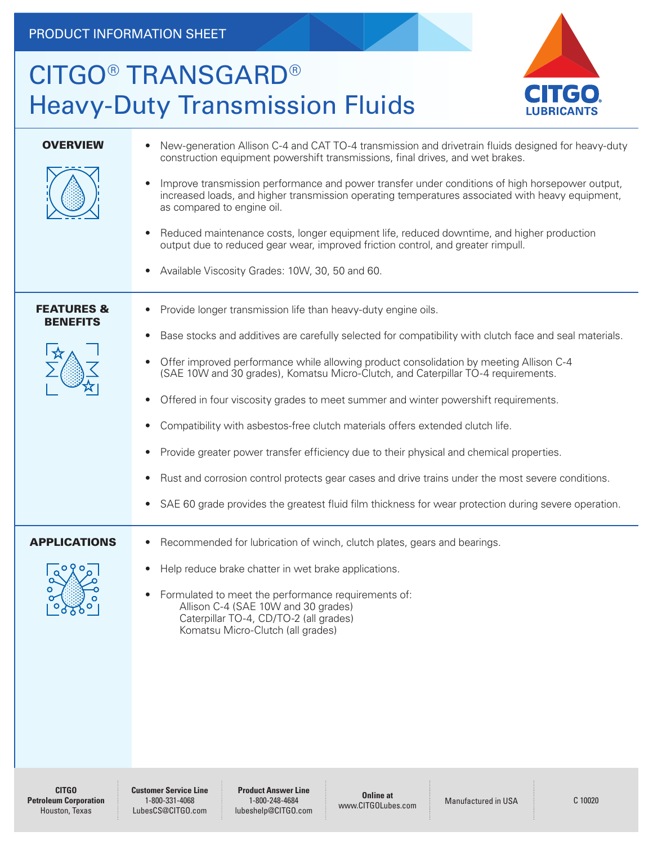## CITGO® TRANSGARD® Heavy-Duty Transmission Fluids



| <b>OVERVIEW</b>                          | New-generation Allison C-4 and CAT TO-4 transmission and drivetrain fluids designed for heavy-duty<br>construction equipment powershift transmissions, final drives, and wet brakes.<br>Improve transmission performance and power transfer under conditions of high horsepower output,<br>increased loads, and higher transmission operating temperatures associated with heavy equipment,<br>as compared to engine oil.<br>Reduced maintenance costs, longer equipment life, reduced downtime, and higher production<br>$\bullet$<br>output due to reduced gear wear, improved friction control, and greater rimpull.<br>Available Viscosity Grades: 10W, 30, 50 and 60.<br>$\bullet$                                                                                                                                                                                                                                                           |
|------------------------------------------|---------------------------------------------------------------------------------------------------------------------------------------------------------------------------------------------------------------------------------------------------------------------------------------------------------------------------------------------------------------------------------------------------------------------------------------------------------------------------------------------------------------------------------------------------------------------------------------------------------------------------------------------------------------------------------------------------------------------------------------------------------------------------------------------------------------------------------------------------------------------------------------------------------------------------------------------------|
| <b>FEATURES &amp;</b><br><b>BENEFITS</b> | Provide longer transmission life than heavy-duty engine oils.<br>$\bullet$<br>Base stocks and additives are carefully selected for compatibility with clutch face and seal materials.<br>$\bullet$<br>Offer improved performance while allowing product consolidation by meeting Allison C-4<br>$\bullet$<br>(SAE 10W and 30 grades), Komatsu Micro-Clutch, and Caterpillar TO-4 requirements.<br>Offered in four viscosity grades to meet summer and winter powershift requirements.<br>$\bullet$<br>Compatibility with asbestos-free clutch materials offers extended clutch life.<br>$\bullet$<br>Provide greater power transfer efficiency due to their physical and chemical properties.<br>$\bullet$<br>Rust and corrosion control protects gear cases and drive trains under the most severe conditions.<br>$\bullet$<br>SAE 60 grade provides the greatest fluid film thickness for wear protection during severe operation.<br>$\bullet$ |
| <b>APPLICATIONS</b><br>090<br>O<br>__െ_  | Recommended for lubrication of winch, clutch plates, gears and bearings.<br>$\bullet$<br>Help reduce brake chatter in wet brake applications.<br>$\bullet$<br>Formulated to meet the performance requirements of:<br>$\bullet$<br>Allison C-4 (SAE 10W and 30 grades)<br>Caterpillar TO-4, CD/TO-2 (all grades)<br>Komatsu Micro-Clutch (all grades)                                                                                                                                                                                                                                                                                                                                                                                                                                                                                                                                                                                              |

**CITGO Petroleum Corporation** Houston, Texas

**Customer Service Line** 1-800-331-4068 LubesCS@CITGO.com

**Product Answer Line** 1-800-248-4684 lubeshelp@CITGO.com

**Online at** Unline at Manufactured in USA C 10020